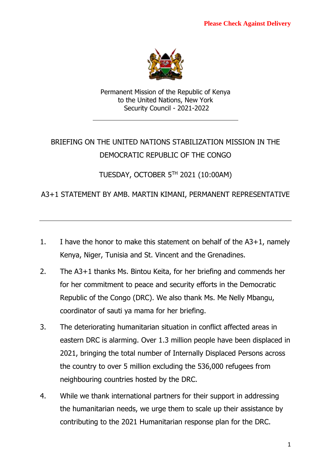

Permanent Mission of the Republic of Kenya to the United Nations, New York Security Council - 2021-2022

# BRIEFING ON THE UNITED NATIONS STABILIZATION MISSION IN THE DEMOCRATIC REPUBLIC OF THE CONGO

TUESDAY, OCTOBER 5 TH 2021 (10:00AM)

## A3+1 STATEMENT BY AMB. MARTIN KIMANI, PERMANENT REPRESENTATIVE

- 1. I have the honor to make this statement on behalf of the A3+1, namely Kenya, Niger, Tunisia and St. Vincent and the Grenadines.
- 2. The A3+1 thanks Ms. Bintou Keita, for her briefing and commends her for her commitment to peace and security efforts in the Democratic Republic of the Congo (DRC). We also thank Ms. Me Nelly Mbangu, coordinator of sauti ya mama for her briefing.
- 3. The deteriorating humanitarian situation in conflict affected areas in eastern DRC is alarming. Over 1.3 million people have been displaced in 2021, bringing the total number of Internally Displaced Persons across the country to over 5 million excluding the 536,000 refugees from neighbouring countries hosted by the DRC.
- 4. While we thank international partners for their support in addressing the humanitarian needs, we urge them to scale up their assistance by contributing to the 2021 Humanitarian response plan for the DRC.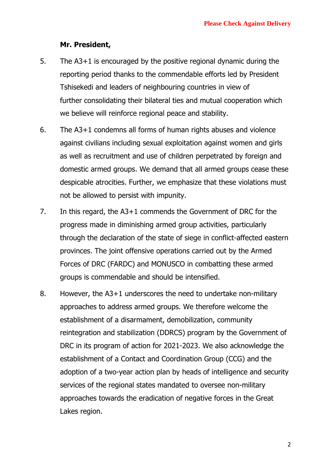#### **Mr. President,**

- 5. The A3+1 is encouraged by the positive regional dynamic during the reporting period thanks to the commendable efforts led by President Tshisekedi and leaders of neighbouring countries in view of further consolidating their bilateral ties and mutual cooperation which we believe will reinforce regional peace and stability.
- 6. The A3+1 condemns all forms of human rights abuses and violence against civilians including sexual exploitation against women and girls as well as recruitment and use of children perpetrated by foreign and domestic armed groups. We demand that all armed groups cease these despicable atrocities. Further, we emphasize that these violations must not be allowed to persist with impunity.
- 7. In this regard, the A3+1 commends the Government of DRC for the progress made in diminishing armed group activities, particularly through the declaration of the state of siege in conflict-affected eastern provinces. The joint offensive operations carried out by the Armed Forces of DRC (FARDC) and MONUSCO in combatting these armed groups is commendable and should be intensified.
- 8. However, the A3+1 underscores the need to undertake non-military approaches to address armed groups. We therefore welcome the establishment of a disarmament, demobilization, community reintegration and stabilization (DDRCS) program by the Government of DRC in its program of action for 2021-2023. We also acknowledge the establishment of a Contact and Coordination Group (CCG) and the adoption of a two-year action plan by heads of intelligence and security services of the regional states mandated to oversee non-military approaches towards the eradication of negative forces in the Great Lakes region.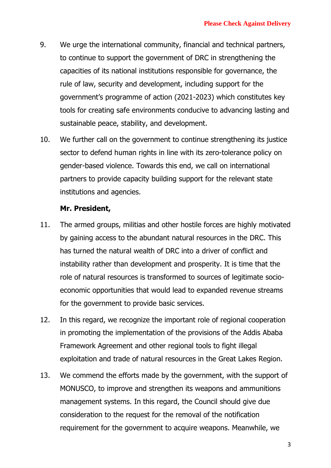- 9. We urge the international community, financial and technical partners, to continue to support the government of DRC in strengthening the capacities of its national institutions responsible for governance, the rule of law, security and development, including support for the government's programme of action (2021-2023) which constitutes key tools for creating safe environments conducive to advancing lasting and sustainable peace, stability, and development.
- 10. We further call on the government to continue strengthening its justice sector to defend human rights in line with its zero-tolerance policy on gender-based violence. Towards this end, we call on international partners to provide capacity building support for the relevant state institutions and agencies.

#### **Mr. President,**

- 11. The armed groups, militias and other hostile forces are highly motivated by gaining access to the abundant natural resources in the DRC. This has turned the natural wealth of DRC into a driver of conflict and instability rather than development and prosperity. It is time that the role of natural resources is transformed to sources of legitimate socioeconomic opportunities that would lead to expanded revenue streams for the government to provide basic services.
- 12. In this regard, we recognize the important role of regional cooperation in promoting the implementation of the provisions of the Addis Ababa Framework Agreement and other regional tools to fight illegal exploitation and trade of natural resources in the Great Lakes Region.
- 13. We commend the efforts made by the government, with the support of MONUSCO, to improve and strengthen its weapons and ammunitions management systems. In this regard, the Council should give due consideration to the request for the removal of the notification requirement for the government to acquire weapons. Meanwhile, we